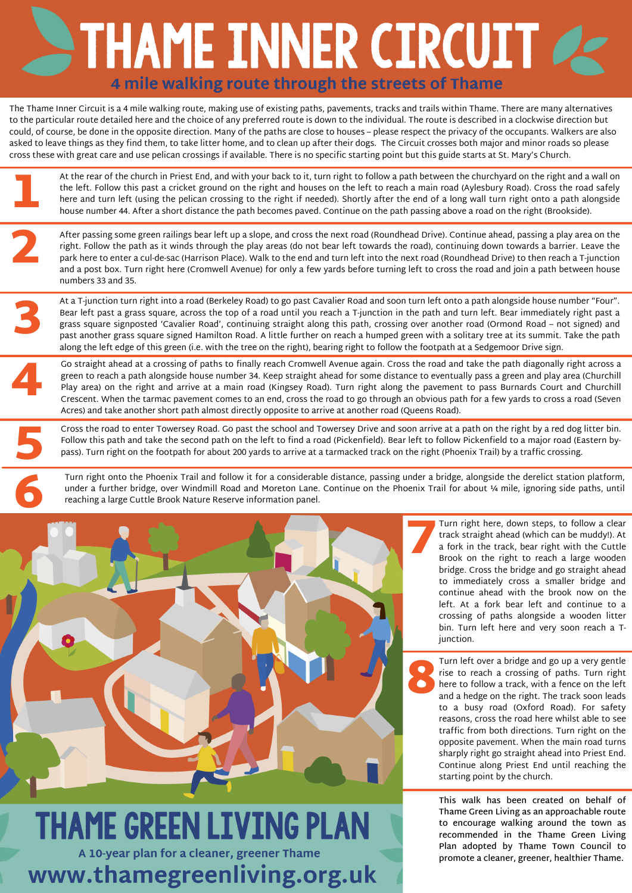

### **THAME GREEN LIVING PLAN** A 10-year plan for a cleaner, greener Thame www.thamegreenliving.org.uk

## STHAME INNER CIRCUIT 4 mile walking route through the streets of Thame

The Thame Inner Circuit is a 4 mile walking route, making use of existing paths, pavements, tracks and trails within Thame. There are many alternatives to the particular route detailed here and the choice of any preferred route is down to the individual. The route is described in a clockwise direction but could, of course, be done in the opposite direction. Many of the paths are close to houses – please respect the privacy of the occupants. Walkers are also asked to leave things as they find them, to take litter home, and to clean up after their dogs. The Circuit crosses both major and minor roads so please cross these with great care and use pelican crossings if available. There is no specific starting point but this guide starts at St. Mary's Church.

1 At the rear of the church in Priest End, and with your back to it, turn right to follow a path between the churchyard on the right and a wall on the left. Follow this past a cricket ground on the right and houses on the left to reach a main road (Aylesbury Road). Cross the road safely here and turn left (using the pelican crossing to the right if needed). Shortly after the end of a long wall turn right onto a path alongside house number 44. After a short distance the path becomes paved. Continue on the path passing above a road on the right (Brookside).

> The transport of the transport of the transport of the transport of the transport of the transport of the transport of the transport of the transport of the transport of the transport of the transport of the transport of t Turn right here, down steps, to follow a clear track straight ahead (which can be muddy!). At a fork in the track, bear right with the Cuttle Brook on the right to reach a large wooden bridge. Cross the bridge and go straight ahead to immediately cross a smaller bridge and continue ahead with the brook now on the left. At a fork bear left and continue to a crossing of paths alongside a wooden litter bin. Turn left here and very soon reach a Tjunction.

2 After passing some green railings bear left up a slope, and cross the next road (Roundhead Drive). Continue ahead, passing a play area on the right. Follow the path as it winds through the play areas (do not bear left towards the road), continuing down towards a barrier. Leave the park here to enter a cul-de-sac (Harrison Place). Walk to the end and turn left into the next road (Roundhead Drive) to then reach a T-junction and a post box. Turn right here (Cromwell Avenue) for only a few yards before turning left to cross the road and join a path between house numbers 33 and 35.

4 Go straight ahead at a crossing of paths to finally reach Cromwell Avenue again. Cross the road and take the path diagonally right across a green to reach a path alongside house number 34. Keep straight ahead for some distance to eventually pass a green and play area (Churchill Play area) on the right and arrive at a main road (Kingsey Road). Turn right along the pavement to pass Burnards Court and Churchill Crescent. When the tarmac pavement comes to an end, cross the road to go through an obvious path for a few yards to cross a road (Seven Acres) and take another short path almost directly opposite to arrive at another road (Queens Road).

5 Cross the road to enter Towersey Road. Go past the school and Towersey Drive and soon arrive at a path on the right by a red dog litter bin. Follow this path and take the second path on the left to find a road (Pickenfield). Bear left to follow Pickenfield to a major road (Eastern bypass). Turn right on the footpath for about 200 yards to arrive at a tarmacked track on the right (Phoenix Trail) by a traffic crossing.

> and to Turn left over a bridge and go up a very gentle rise to reach a crossing of paths. Turn right here to follow a track, with a fence on the left and a hedge on the right. The track soon leads to a busy road (Oxford Road). For safety reasons, cross the road here whilst able to see traffic from both directions. Turn right on the opposite pavement. When the main road turns sharply right go straight ahead into Priest End. Continue along Priest End until reaching the starting point by the church.

At a T-junction turn right into a road (Berkeley Road) to go past Cavalier Road and soon turn left onto a path alongside house number "Four". Bear left past a grass square, across the top of a road until you reach a T-junction in the path and turn left. Bear immediately right past a grass square signposted 'Cavalier Road', continuing straight along this path, crossing over another road (Ormond Road – not signed) and past another grass square signed Hamilton Road. A little further on reach a humped green with a solitary tree at its summit. Take the path along the left edge of this green (i.e. with the tree on the right), bearing right to follow the footpath at a Sedgemoor Drive sign. 3

Turn right onto the Phoenix Trail and follow it for a considerable distance, passing under a bridge, alongside the derelict station platform, under a further bridge, over Windmill Road and Moreton Lane. Continue on the Phoenix Trail for about ¼ mile, ignoring side paths, until reaching a large Cuttle Brook Nature Reserve information panel.

> **This walk has been created on behalf of [Thame](https://www.thamegreenliving.org.uk/) Green Living as an approachable route to encourage walking around the town as [recommended](https://www.thametowncouncil.gov.uk/thame-town-council/green-living-plan/) in the Thame Green Living Plan adopted by Thame Town Council to promote a cleaner, greener, healthier Thame.**